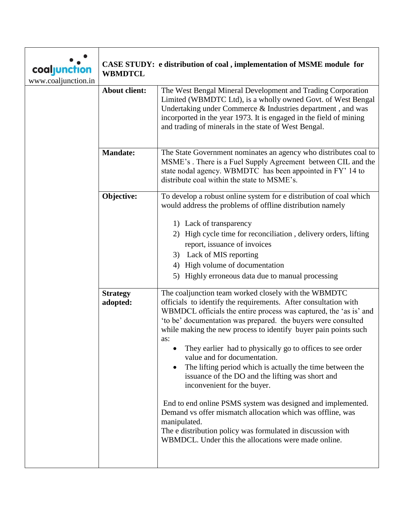| coaljunction<br>www.coaljunction.in | CASE STUDY: e distribution of coal, implementation of MSME module for<br><b>WBMDTCL</b> |                                                                                                                                                                                                                                                                                                                                                                                                                                                                                                                                                                                                                                                                                                                                                                                                                                                                       |
|-------------------------------------|-----------------------------------------------------------------------------------------|-----------------------------------------------------------------------------------------------------------------------------------------------------------------------------------------------------------------------------------------------------------------------------------------------------------------------------------------------------------------------------------------------------------------------------------------------------------------------------------------------------------------------------------------------------------------------------------------------------------------------------------------------------------------------------------------------------------------------------------------------------------------------------------------------------------------------------------------------------------------------|
|                                     | <b>About client:</b>                                                                    | The West Bengal Mineral Development and Trading Corporation<br>Limited (WBMDTC Ltd), is a wholly owned Govt. of West Bengal<br>Undertaking under Commerce & Industries department, and was<br>incorported in the year 1973. It is engaged in the field of mining<br>and trading of minerals in the state of West Bengal.                                                                                                                                                                                                                                                                                                                                                                                                                                                                                                                                              |
|                                     | <b>Mandate:</b>                                                                         | The State Government nominates an agency who distributes coal to<br>MSME's. There is a Fuel Supply Agreement between CIL and the<br>state nodal agency. WBMDTC has been appointed in FY' 14 to<br>distribute coal within the state to MSME's.                                                                                                                                                                                                                                                                                                                                                                                                                                                                                                                                                                                                                         |
|                                     | Objective:                                                                              | To develop a robust online system for e distribution of coal which<br>would address the problems of offline distribution namely<br>1) Lack of transparency<br>2) High cycle time for reconciliation, delivery orders, lifting<br>report, issuance of invoices<br>3) Lack of MIS reporting<br>4) High volume of documentation<br>Highly erroneous data due to manual processing<br>5)                                                                                                                                                                                                                                                                                                                                                                                                                                                                                  |
|                                     | <b>Strategy</b><br>adopted:                                                             | The coaljunction team worked closely with the WBMDTC<br>officials to identify the requirements. After consultation with<br>WBMDCL officials the entire process was captured, the 'as is' and<br>'to be' documentation was prepared. the buyers were consulted<br>while making the new process to identify buyer pain points such<br>as:<br>They earlier had to physically go to offices to see order<br>value and for documentation.<br>The lifting period which is actually the time between the<br>$\bullet$<br>issuance of the DO and the lifting was short and<br>inconvenient for the buyer.<br>End to end online PSMS system was designed and implemented.<br>Demand vs offer mismatch allocation which was offline, was<br>manipulated.<br>The e distribution policy was formulated in discussion with<br>WBMDCL. Under this the allocations were made online. |